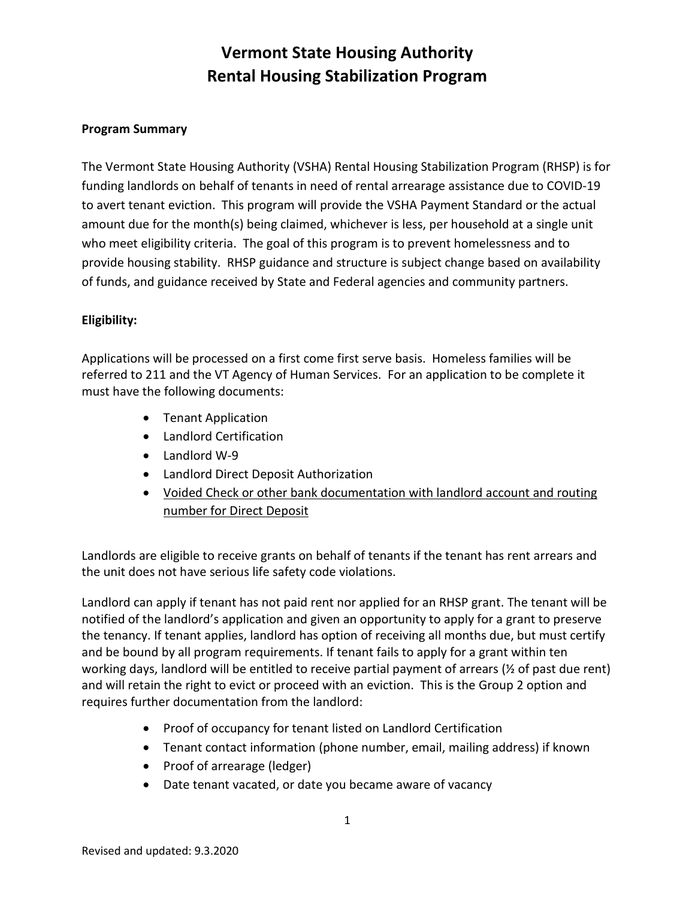#### **Program Summary**

The Vermont State Housing Authority (VSHA) Rental Housing Stabilization Program (RHSP) is for funding landlords on behalf of tenants in need of rental arrearage assistance due to COVID-19 to avert tenant eviction. This program will provide the VSHA Payment Standard or the actual amount due for the month(s) being claimed, whichever is less, per household at a single unit who meet eligibility criteria. The goal of this program is to prevent homelessness and to provide housing stability. RHSP guidance and structure is subject change based on availability of funds, and guidance received by State and Federal agencies and community partners.

#### **Eligibility:**

Applications will be processed on a first come first serve basis. Homeless families will be referred to 211 and the VT Agency of Human Services. For an application to be complete it must have the following documents:

- Tenant Application
- Landlord Certification
- Landlord W-9
- Landlord Direct Deposit Authorization
- Voided Check or other bank documentation with landlord account and routing number for Direct Deposit

Landlords are eligible to receive grants on behalf of tenants if the tenant has rent arrears and the unit does not have serious life safety code violations.

Landlord can apply if tenant has not paid rent nor applied for an RHSP grant. The tenant will be notified of the landlord's application and given an opportunity to apply for a grant to preserve the tenancy. If tenant applies, landlord has option of receiving all months due, but must certify and be bound by all program requirements. If tenant fails to apply for a grant within ten working days, landlord will be entitled to receive partial payment of arrears (½ of past due rent) and will retain the right to evict or proceed with an eviction. This is the Group 2 option and requires further documentation from the landlord:

- Proof of occupancy for tenant listed on Landlord Certification
- Tenant contact information (phone number, email, mailing address) if known
- Proof of arrearage (ledger)
- Date tenant vacated, or date you became aware of vacancy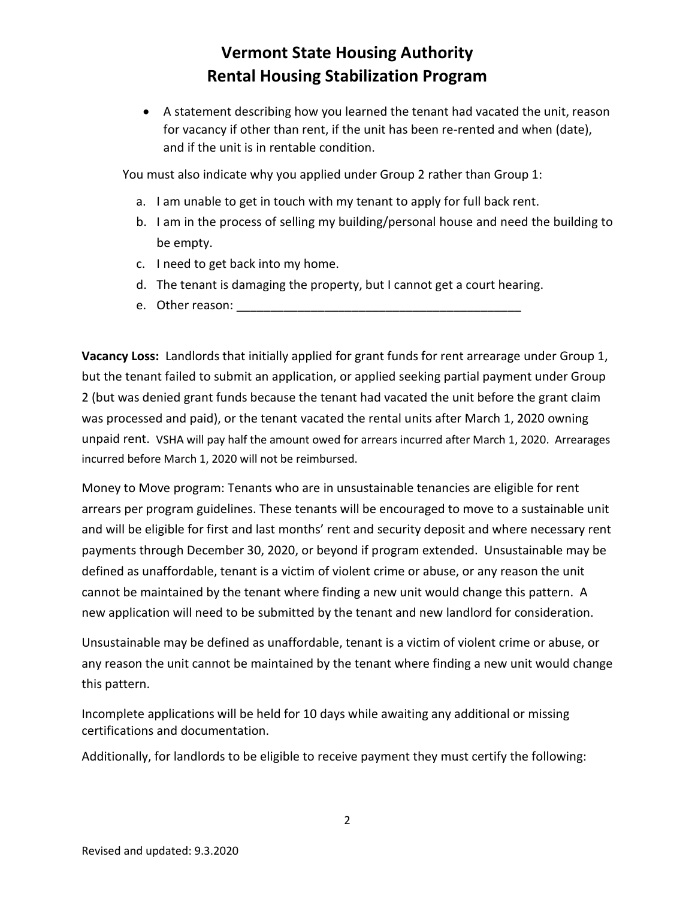• A statement describing how you learned the tenant had vacated the unit, reason for vacancy if other than rent, if the unit has been re-rented and when (date), and if the unit is in rentable condition.

You must also indicate why you applied under Group 2 rather than Group 1:

- a. I am unable to get in touch with my tenant to apply for full back rent.
- b. I am in the process of selling my building/personal house and need the building to be empty.
- c. I need to get back into my home.
- d. The tenant is damaging the property, but I cannot get a court hearing.
- e. Other reason:

**Vacancy Loss:** Landlords that initially applied for grant funds for rent arrearage under Group 1, but the tenant failed to submit an application, or applied seeking partial payment under Group 2 (but was denied grant funds because the tenant had vacated the unit before the grant claim was processed and paid), or the tenant vacated the rental units after March 1, 2020 owning unpaid rent. VSHA will pay half the amount owed for arrears incurred after March 1, 2020. Arrearages incurred before March 1, 2020 will not be reimbursed.

Money to Move program: Tenants who are in unsustainable tenancies are eligible for rent arrears per program guidelines. These tenants will be encouraged to move to a sustainable unit and will be eligible for first and last months' rent and security deposit and where necessary rent payments through December 30, 2020, or beyond if program extended. Unsustainable may be defined as unaffordable, tenant is a victim of violent crime or abuse, or any reason the unit cannot be maintained by the tenant where finding a new unit would change this pattern. A new application will need to be submitted by the tenant and new landlord for consideration.

Unsustainable may be defined as unaffordable, tenant is a victim of violent crime or abuse, or any reason the unit cannot be maintained by the tenant where finding a new unit would change this pattern.

Incomplete applications will be held for 10 days while awaiting any additional or missing certifications and documentation.

Additionally, for landlords to be eligible to receive payment they must certify the following: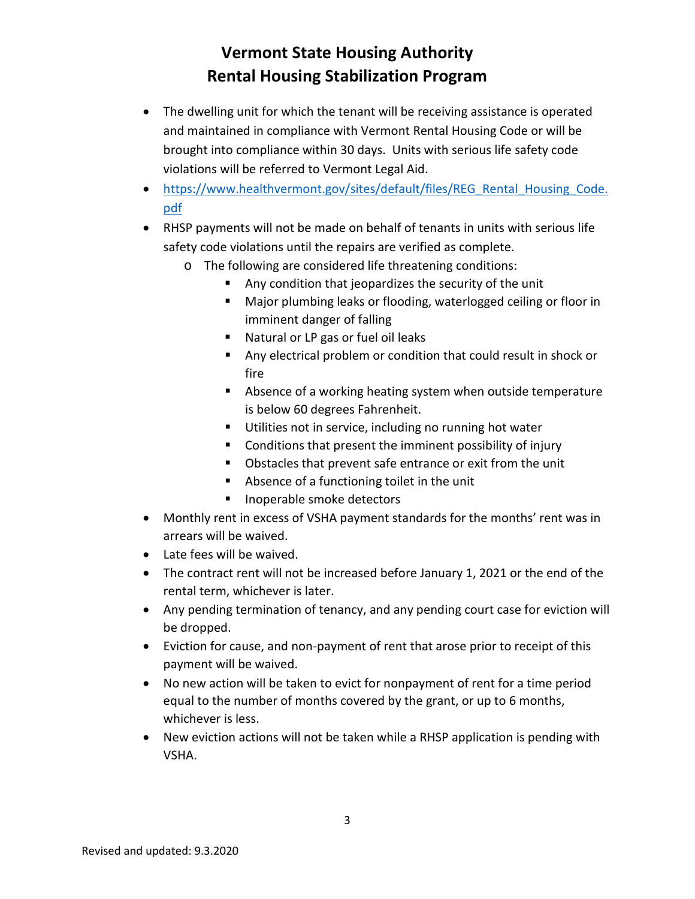- The dwelling unit for which the tenant will be receiving assistance is operated and maintained in compliance with Vermont Rental Housing Code or will be brought into compliance within 30 days. Units with serious life safety code violations will be referred to Vermont Legal Aid.
- [https://www.healthvermont.gov/sites/default/files/REG\\_Rental\\_Housing\\_Code.](https://www.healthvermont.gov/sites/default/files/REG_Rental_Housing_Code.pdf) [pdf](https://www.healthvermont.gov/sites/default/files/REG_Rental_Housing_Code.pdf)
- RHSP payments will not be made on behalf of tenants in units with serious life safety code violations until the repairs are verified as complete.
	- o The following are considered life threatening conditions:
		- Any condition that jeopardizes the security of the unit
		- Major plumbing leaks or flooding, waterlogged ceiling or floor in imminent danger of falling
		- **Natural or LP gas or fuel oil leaks**
		- Any electrical problem or condition that could result in shock or fire
		- Absence of a working heating system when outside temperature is below 60 degrees Fahrenheit.
		- Utilities not in service, including no running hot water
		- Conditions that present the imminent possibility of injury
		- **D** Obstacles that prevent safe entrance or exit from the unit
		- Absence of a functioning toilet in the unit
		- **Inoperable smoke detectors**
- Monthly rent in excess of VSHA payment standards for the months' rent was in arrears will be waived.
- Late fees will be waived.
- The contract rent will not be increased before January 1, 2021 or the end of the rental term, whichever is later.
- Any pending termination of tenancy, and any pending court case for eviction will be dropped.
- Eviction for cause, and non-payment of rent that arose prior to receipt of this payment will be waived.
- No new action will be taken to evict for nonpayment of rent for a time period equal to the number of months covered by the grant, or up to 6 months, whichever is less.
- New eviction actions will not be taken while a RHSP application is pending with VSHA.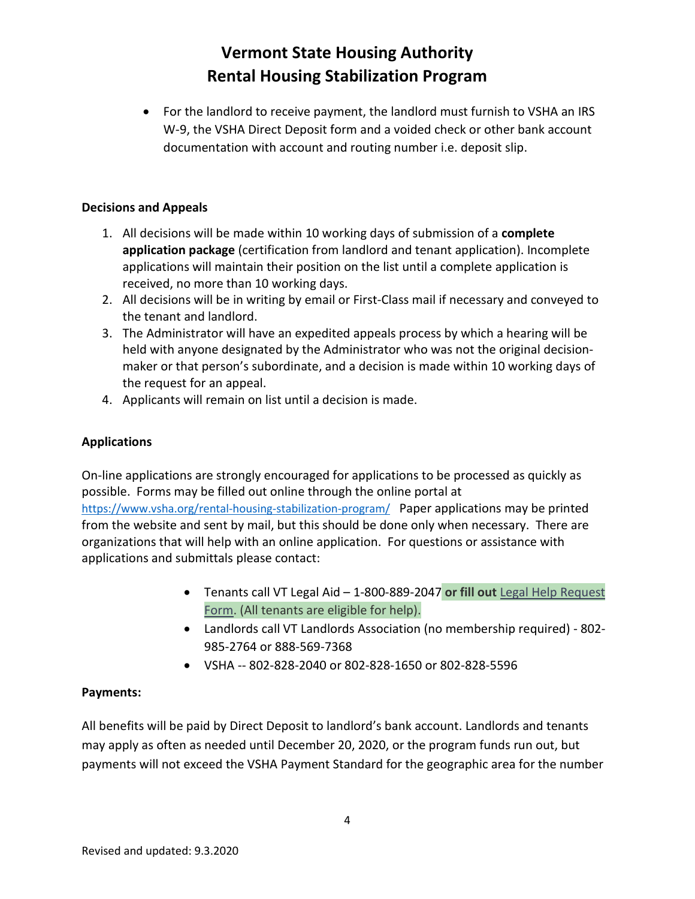• For the landlord to receive payment, the landlord must furnish to VSHA an IRS W-9, the VSHA Direct Deposit form and a voided check or other bank account documentation with account and routing number i.e. deposit slip.

#### **Decisions and Appeals**

- 1. All decisions will be made within 10 working days of submission of a **complete application package** (certification from landlord and tenant application). Incomplete applications will maintain their position on the list until a complete application is received, no more than 10 working days.
- 2. All decisions will be in writing by email or First-Class mail if necessary and conveyed to the tenant and landlord.
- 3. The Administrator will have an expedited appeals process by which a hearing will be held with anyone designated by the Administrator who was not the original decisionmaker or that person's subordinate, and a decision is made within 10 working days of the request for an appeal.
- 4. Applicants will remain on list until a decision is made.

### **Applications**

On-line applications are strongly encouraged for applications to be processed as quickly as possible. Forms may be filled out online through the online portal at <https://www.vsha.org/rental-housing-stabilization-program/>Paper applications may be printed from the website and sent by mail, but this should be done only when necessary. There are organizations that will help with an online application. For questions or assistance with applications and submittals please contact:

- Tenants call VT Legal Aid 1-800-889-2047 **or fill out** [Legal Help Request](https://vtlawhelp.org/vlh-intake)  [Form.](https://vtlawhelp.org/vlh-intake) (All tenants are eligible for help).
- Landlords call VT Landlords Association (no membership required) 802- 985-2764 or 888-569-7368
- VSHA -- 802-828-2040 or 802-828-1650 or 802-828-5596

### **Payments:**

All benefits will be paid by Direct Deposit to landlord's bank account. Landlords and tenants may apply as often as needed until December 20, 2020, or the program funds run out, but payments will not exceed the VSHA Payment Standard for the geographic area for the number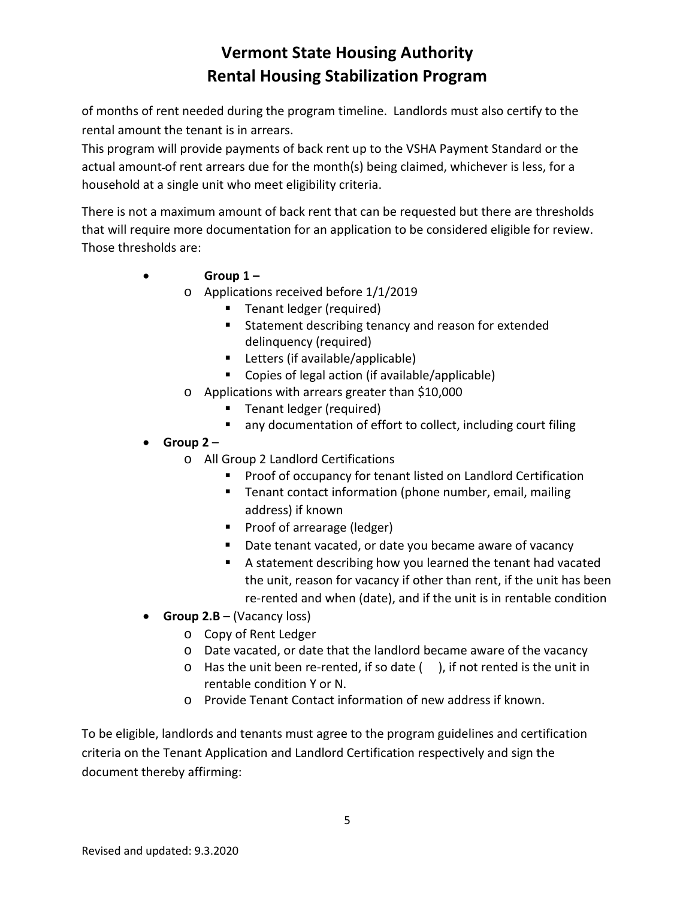of months of rent needed during the program timeline. Landlords must also certify to the rental amount the tenant is in arrears.

This program will provide payments of back rent up to the VSHA Payment Standard or the actual amount of rent arrears due for the month(s) being claimed, whichever is less, for a household at a single unit who meet eligibility criteria.

There is not a maximum amount of back rent that can be requested but there are thresholds that will require more documentation for an application to be considered eligible for review. Those thresholds are:

- **Group 1 –**
	- o Applications received before 1/1/2019
		- **Tenant ledger (required)**
		- **Statement describing tenancy and reason for extended** delinquency (required)
		- Letters (if available/applicable)
		- Copies of legal action (if available/applicable)
	- o Applications with arrears greater than \$10,000
		- **Tenant ledger (required)**
		- any documentation of effort to collect, including court filing
- **Group 2**
	- o All Group 2 Landlord Certifications
		- **Proof of occupancy for tenant listed on Landlord Certification**
		- **Tenant contact information (phone number, email, mailing** address) if known
		- **Proof of arrearage (ledger)**
		- Date tenant vacated, or date you became aware of vacancy
		- A statement describing how you learned the tenant had vacated the unit, reason for vacancy if other than rent, if the unit has been re-rented and when (date), and if the unit is in rentable condition
- **Group 2.B** (Vacancy loss)
	- o Copy of Rent Ledger
	- o Date vacated, or date that the landlord became aware of the vacancy
	- $\circ$  Has the unit been re-rented, if so date (), if not rented is the unit in rentable condition Y or N.
	- o Provide Tenant Contact information of new address if known.

To be eligible, landlords and tenants must agree to the program guidelines and certification criteria on the Tenant Application and Landlord Certification respectively and sign the document thereby affirming: